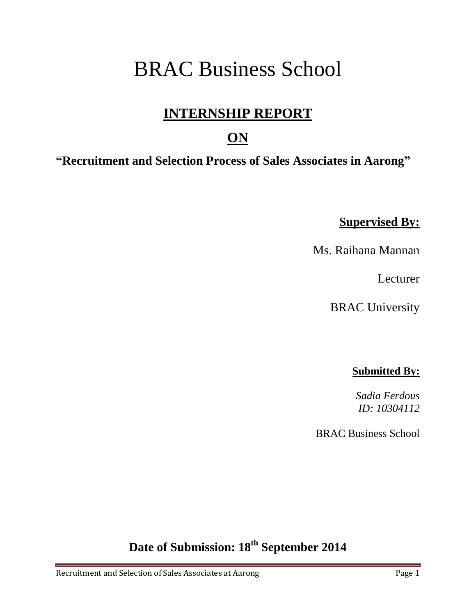# BRAC Business School

### **INTERNSHIP REPORT**

#### **ON**

**"Recruitment and Selection Process of Sales Associates in Aarong"**

**Supervised By:**

Ms. Raihana Mannan

Lecturer

BRAC University

#### **Submitted By:**

*Sadia Ferdous ID: 10304112*

BRAC Business School

**Date of Submission: 18th September 2014**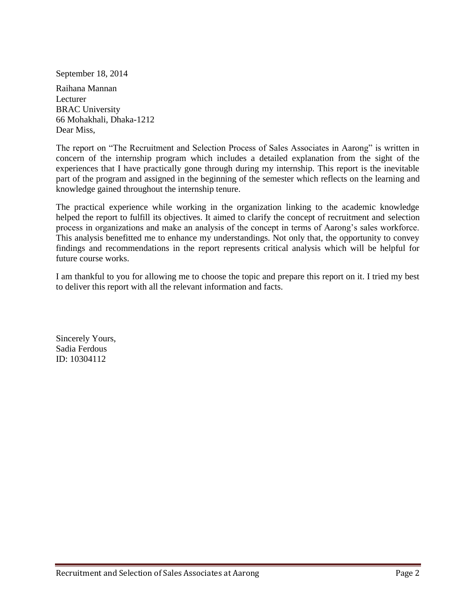September 18, 2014

Raihana Mannan Lecturer BRAC University 66 Mohakhali, Dhaka-1212 Dear Miss,

The report on "The Recruitment and Selection Process of Sales Associates in Aarong" is written in concern of the internship program which includes a detailed explanation from the sight of the experiences that I have practically gone through during my internship. This report is the inevitable part of the program and assigned in the beginning of the semester which reflects on the learning and knowledge gained throughout the internship tenure.

The practical experience while working in the organization linking to the academic knowledge helped the report to fulfill its objectives. It aimed to clarify the concept of recruitment and selection process in organizations and make an analysis of the concept in terms of Aarong"s sales workforce. This analysis benefitted me to enhance my understandings. Not only that, the opportunity to convey findings and recommendations in the report represents critical analysis which will be helpful for future course works.

I am thankful to you for allowing me to choose the topic and prepare this report on it. I tried my best to deliver this report with all the relevant information and facts.

Sincerely Yours, Sadia Ferdous ID: 10304112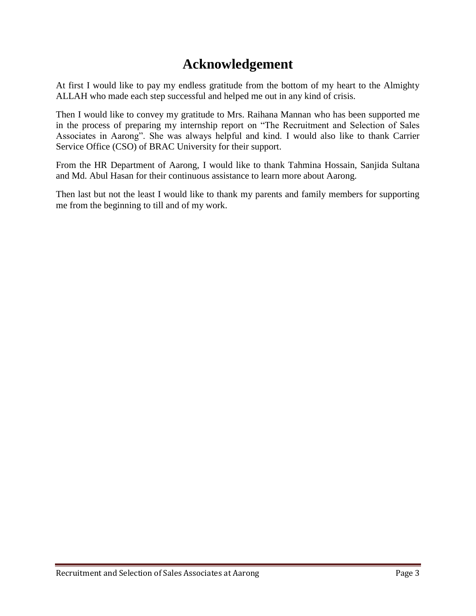### **Acknowledgement**

At first I would like to pay my endless gratitude from the bottom of my heart to the Almighty ALLAH who made each step successful and helped me out in any kind of crisis.

Then I would like to convey my gratitude to Mrs. Raihana Mannan who has been supported me in the process of preparing my internship report on "The Recruitment and Selection of Sales Associates in Aarong". She was always helpful and kind. I would also like to thank Carrier Service Office (CSO) of BRAC University for their support.

From the HR Department of Aarong, I would like to thank Tahmina Hossain, Sanjida Sultana and Md. Abul Hasan for their continuous assistance to learn more about Aarong.

Then last but not the least I would like to thank my parents and family members for supporting me from the beginning to till and of my work.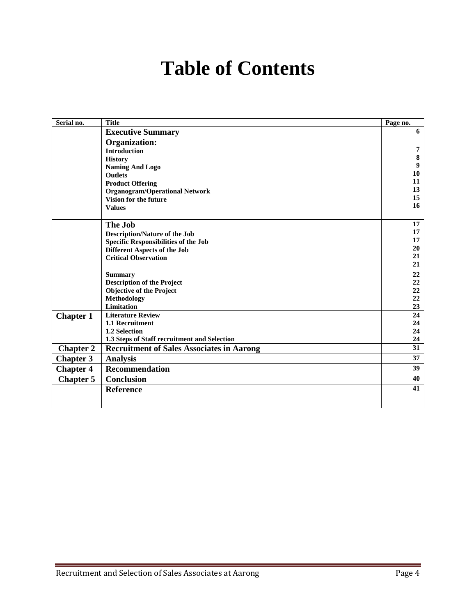# **Table of Contents**

| Serial no.       | <b>Title</b>                                     | Page no. |
|------------------|--------------------------------------------------|----------|
|                  | <b>Executive Summary</b>                         | 6        |
|                  | <b>Organization:</b>                             |          |
|                  | <b>Introduction</b>                              | 7        |
|                  | <b>History</b>                                   | 8        |
|                  | <b>Naming And Logo</b>                           | 9        |
|                  | <b>Outlets</b>                                   | 10       |
|                  | <b>Product Offering</b>                          | 11       |
|                  | <b>Organogram/Operational Network</b>            | 13       |
|                  | <b>Vision for the future</b>                     | 15<br>16 |
|                  | <b>Values</b>                                    |          |
|                  | The Job                                          | 17       |
|                  | <b>Description/Nature of the Job</b>             | 17       |
|                  | <b>Specific Responsibilities of the Job</b>      | 17       |
|                  | <b>Different Aspects of the Job</b>              | 20       |
|                  | <b>Critical Observation</b>                      | 21       |
|                  |                                                  | 21       |
|                  | <b>Summary</b>                                   | 22       |
|                  | <b>Description of the Project</b>                | 22       |
|                  | <b>Objective of the Project</b>                  | 22       |
|                  | <b>Methodology</b>                               | 22       |
|                  | <b>Limitation</b>                                | 23       |
| <b>Chapter 1</b> | <b>Literature Review</b>                         | 24       |
|                  | 1.1 Recruitment                                  | 24       |
|                  | 1.2 Selection                                    | 24       |
|                  | 1.3 Steps of Staff recruitment and Selection     | 24       |
| <b>Chapter 2</b> | <b>Recruitment of Sales Associates in Aarong</b> | 31       |
| <b>Chapter 3</b> | <b>Analysis</b>                                  | 37       |
| <b>Chapter 4</b> | <b>Recommendation</b>                            | 39       |
| <b>Chapter 5</b> | <b>Conclusion</b>                                | 40       |
|                  | <b>Reference</b>                                 | 41       |
|                  |                                                  |          |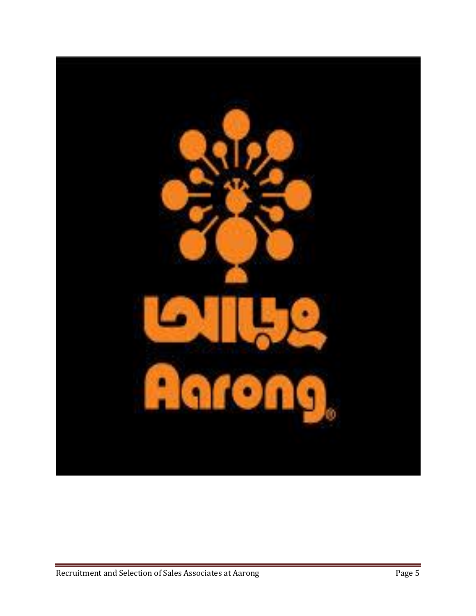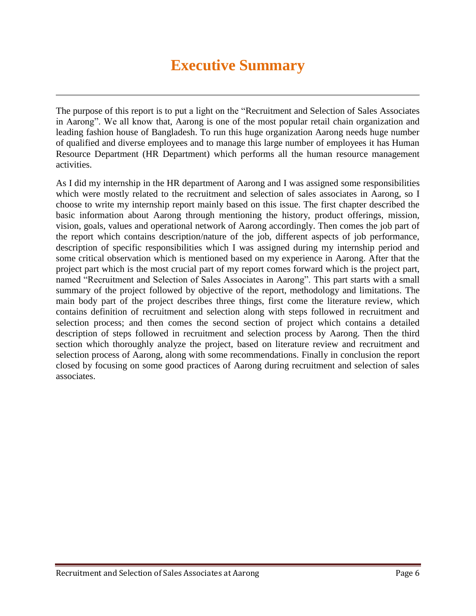# **Executive Summary**

The purpose of this report is to put a light on the "Recruitment and Selection of Sales Associates in Aarong". We all know that, Aarong is one of the most popular retail chain organization and leading fashion house of Bangladesh. To run this huge organization Aarong needs huge number of qualified and diverse employees and to manage this large number of employees it has Human Resource Department (HR Department) which performs all the human resource management activities.

As I did my internship in the HR department of Aarong and I was assigned some responsibilities which were mostly related to the recruitment and selection of sales associates in Aarong, so I choose to write my internship report mainly based on this issue. The first chapter described the basic information about Aarong through mentioning the history, product offerings, mission, vision, goals, values and operational network of Aarong accordingly. Then comes the job part of the report which contains description/nature of the job, different aspects of job performance, description of specific responsibilities which I was assigned during my internship period and some critical observation which is mentioned based on my experience in Aarong. After that the project part which is the most crucial part of my report comes forward which is the project part, named "Recruitment and Selection of Sales Associates in Aarong". This part starts with a small summary of the project followed by objective of the report, methodology and limitations. The main body part of the project describes three things, first come the literature review, which contains definition of recruitment and selection along with steps followed in recruitment and selection process; and then comes the second section of project which contains a detailed description of steps followed in recruitment and selection process by Aarong. Then the third section which thoroughly analyze the project, based on literature review and recruitment and selection process of Aarong, along with some recommendations. Finally in conclusion the report closed by focusing on some good practices of Aarong during recruitment and selection of sales associates.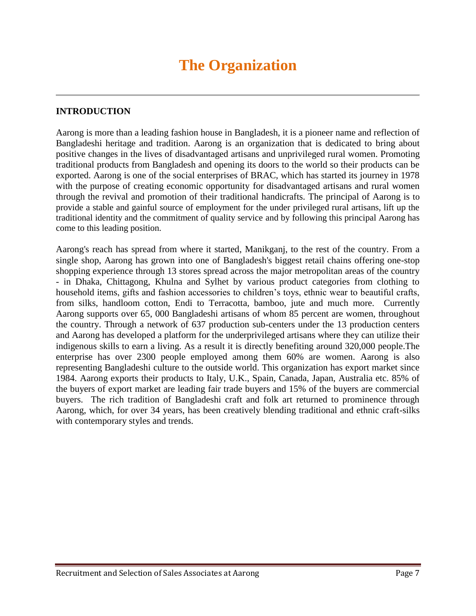#### **INTRODUCTION**

Aarong is more than a leading fashion house in Bangladesh, it is a pioneer name and reflection of Bangladeshi heritage and tradition. Aarong is an organization that is dedicated to bring about positive changes in the lives of disadvantaged artisans and unprivileged rural women. Promoting traditional products from Bangladesh and opening its doors to the world so their products can be exported. Aarong is one of the social enterprises of BRAC, which has started its journey in 1978 with the purpose of creating economic opportunity for disadvantaged artisans and rural women through the revival and promotion of their traditional handicrafts. The principal of Aarong is to provide a stable and gainful source of employment for the under privileged rural artisans, lift up the traditional identity and the commitment of quality service and by following this principal Aarong has come to this leading position.

Aarong's reach has spread from where it started, Manikganj, to the rest of the country. From a single shop, Aarong has grown into one of Bangladesh's biggest retail chains offering one-stop shopping experience through 13 stores spread across the major metropolitan areas of the country - in Dhaka, Chittagong, Khulna and Sylhet by various product categories from clothing to household items, gifts and fashion accessories to children"s toys, ethnic wear to beautiful crafts, from silks, handloom cotton, Endi to Terracotta, bamboo, jute and much more. Currently Aarong supports over 65, 000 Bangladeshi artisans of whom 85 percent are women, throughout the country. Through a network of 637 production sub-centers under the 13 production centers and Aarong has developed a platform for the underprivileged artisans where they can utilize their indigenous skills to earn a living. As a result it is directly benefiting around 320,000 people.The enterprise has over 2300 people employed among them 60% are women. Aarong is also representing Bangladeshi culture to the outside world. This organization has export market since 1984. Aarong exports their products to Italy, U.K., Spain, Canada, Japan, Australia etc. 85% of the buyers of export market are leading fair trade buyers and 15% of the buyers are commercial buyers. The rich tradition of Bangladeshi craft and folk art returned to prominence through Aarong, which, for over 34 years, has been creatively blending traditional and ethnic craft-silks with contemporary styles and trends.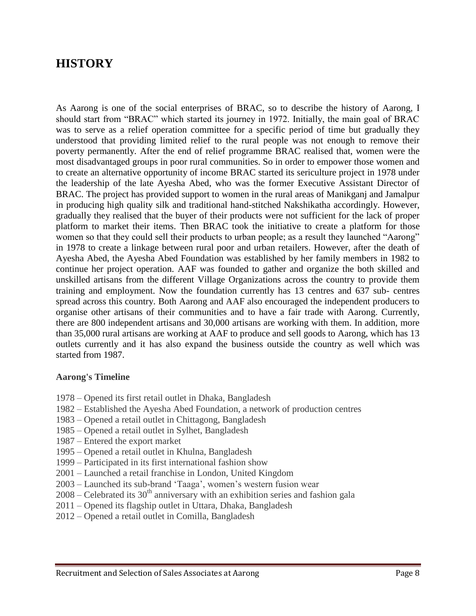#### **HISTORY**

As Aarong is one of the social enterprises of BRAC, so to describe the history of Aarong, I should start from "BRAC" which started its journey in 1972. Initially, the main goal of BRAC was to serve as a relief operation committee for a specific period of time but gradually they understood that providing limited relief to the rural people was not enough to remove their poverty permanently. After the end of relief programme BRAC realised that, women were the most disadvantaged groups in poor rural communities. So in order to empower those women and to create an alternative opportunity of income BRAC started its sericulture project in 1978 under the leadership of the late Ayesha Abed, who was the former Executive Assistant Director of BRAC. The project has provided support to women in the rural areas of Manikganj and Jamalpur in producing high quality silk and traditional hand-stitched Nakshikatha accordingly. However, gradually they realised that the buyer of their products were not sufficient for the lack of proper platform to market their items. Then BRAC took the initiative to create a platform for those women so that they could sell their products to urban people; as a result they launched "Aarong" in 1978 to create a linkage between rural poor and urban retailers. However, after the death of Ayesha Abed, the Ayesha Abed Foundation was established by her family members in 1982 to continue her project operation. AAF was founded to gather and organize the both skilled and unskilled artisans from the different Village Organizations across the country to provide them training and employment. Now the foundation currently has 13 centres and 637 sub- centres spread across this country. Both Aarong and AAF also encouraged the independent producers to organise other artisans of their communities and to have a fair trade with Aarong. Currently, there are 800 independent artisans and 30,000 artisans are working with them. In addition, more than 35,000 rural artisans are working at AAF to produce and sell goods to Aarong, which has 13 outlets currently and it has also expand the business outside the country as well which was started from 1987.

#### **Aarong's Timeline**

- 1978 Opened its first retail outlet in Dhaka, Bangladesh
- 1982 Established the Ayesha Abed Foundation, a network of production centres
- 1983 Opened a retail outlet in Chittagong, Bangladesh
- 1985 Opened a retail outlet in Sylhet, Bangladesh
- 1987 Entered the export market
- 1995 Opened a retail outlet in Khulna, Bangladesh
- 1999 Participated in its first international fashion show
- 2001 Launched a retail franchise in London, United Kingdom
- 2003 Launched its sub-brand "Taaga", women"s western fusion wear
- $2008$  Celebrated its  $30<sup>th</sup>$  anniversary with an exhibition series and fashion gala
- 2011 Opened its flagship outlet in Uttara, Dhaka, Bangladesh
- 2012 Opened a retail outlet in Comilla, Bangladesh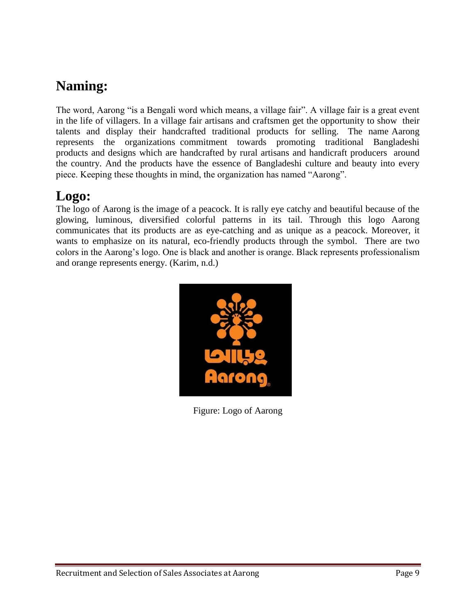### **Naming:**

The word, Aarong "is a Bengali word which means, a village fair". A village fair is a great event in the life of villagers. In a village fair artisans and craftsmen get the opportunity to show their talents and display their handcrafted traditional products for selling. The name Aarong represents the organizations commitment towards promoting traditional Bangladeshi products and designs which are handcrafted by rural artisans and handicraft producers around the country. And the products have the essence of Bangladeshi culture and beauty into every piece. Keeping these thoughts in mind, the organization has named "Aarong".

### **Logo:**

The logo of Aarong is the image of a peacock. It is rally eye catchy and beautiful because of the glowing, luminous, diversified colorful patterns in its tail. Through this logo Aarong communicates that its products are as eye-catching and as unique as a peacock. Moreover, it wants to emphasize on its natural, eco-friendly products through the symbol. There are two colors in the Aarong"s logo. One is black and another is orange. Black represents professionalism and orange represents energy. (Karim, n.d.)



Figure: Logo of Aarong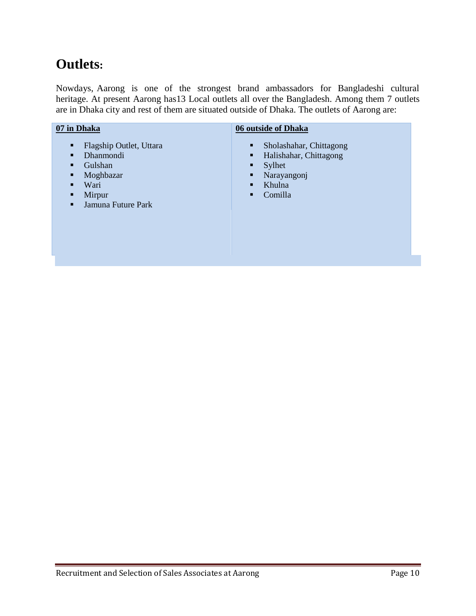### **Outlets:**

Nowdays, Aarong is one of the strongest brand ambassadors for Bangladeshi cultural heritage. At present Aarong has13 Local outlets all over the Bangladesh. Among them 7 outlets are in Dhaka city and rest of them are situated outside of Dhaka. The outlets of Aarong are:

#### **07 in Dhaka**

- **Flagship Outlet, Uttara**
- Dhanmondi
- **Gulshan**
- **Moghbazar**
- **Wari**
- Mirpur
- **Jamuna Future Park**

#### **06 outside of Dhaka**

- Sholashahar, Chittagong
- **Halishahar, Chittagong**<br>Svlhet
- Sylhet
- **Narayangonj**
- $\blacksquare$  Khulna
- Comilla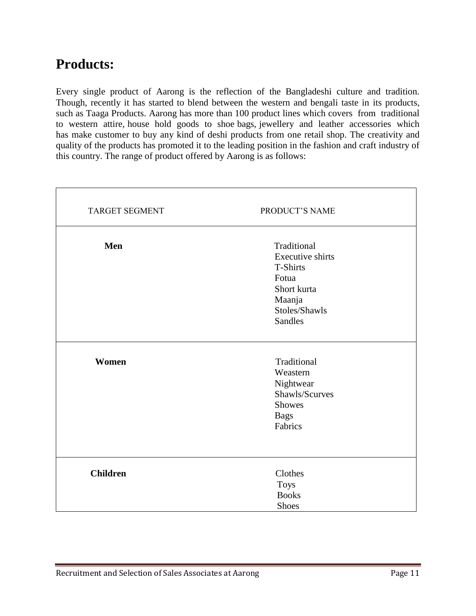### **Products:**

Every single product of Aarong is the reflection of the Bangladeshi culture and tradition. Though, recently it has started to blend between the western and bengali taste in its products, such as Taaga Products. Aarong has more than 100 product lines which covers from traditional to western attire, house hold goods to shoe bags, jewellery and leather accessories which has make customer to buy any kind of deshi products from one retail shop. The creativity and quality of the products has promoted it to the leading position in the fashion and craft industry of this country. The range of product offered by Aarong is as follows:

| <b>TARGET SEGMENT</b> | PRODUCT'S NAME          |  |
|-----------------------|-------------------------|--|
|                       |                         |  |
| Men                   | Traditional             |  |
|                       | <b>Executive shirts</b> |  |
|                       | <b>T-Shirts</b>         |  |
|                       | Fotua                   |  |
|                       | Short kurta             |  |
|                       | Maanja                  |  |
|                       | Stoles/Shawls           |  |
|                       | Sandles                 |  |
|                       |                         |  |
| Women                 | Traditional             |  |
|                       | Weastern                |  |
|                       | Nightwear               |  |
|                       | Shawls/Scurves          |  |
|                       | <b>Showes</b>           |  |
|                       | <b>Bags</b>             |  |
|                       | Fabrics                 |  |
|                       |                         |  |
|                       |                         |  |
|                       |                         |  |
| <b>Children</b>       | Clothes                 |  |
|                       | <b>Toys</b>             |  |
|                       | <b>Books</b>            |  |
|                       | Shoes                   |  |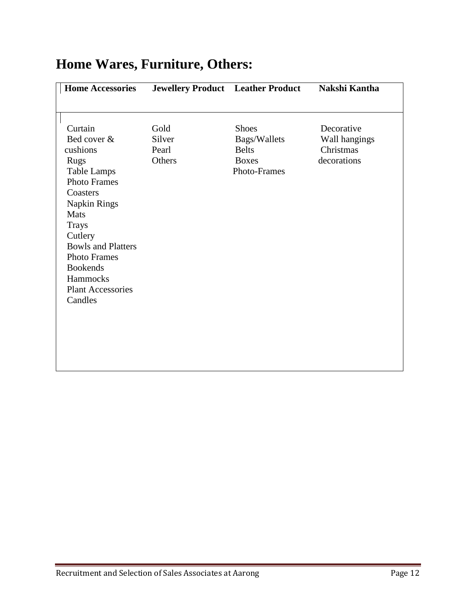| <b>Home Accessories</b>                                                                                                                                                                                                                                                                        | <b>Jewellery Product</b> Leather Product |                                                                                     | <b>Nakshi Kantha</b>                                    |
|------------------------------------------------------------------------------------------------------------------------------------------------------------------------------------------------------------------------------------------------------------------------------------------------|------------------------------------------|-------------------------------------------------------------------------------------|---------------------------------------------------------|
|                                                                                                                                                                                                                                                                                                |                                          |                                                                                     |                                                         |
| Curtain<br>Bed cover &<br>cushions<br><b>Rugs</b><br><b>Table Lamps</b><br><b>Photo Frames</b><br>Coasters<br><b>Napkin Rings</b><br>Mats<br><b>Trays</b><br>Cutlery<br><b>Bowls and Platters</b><br><b>Photo Frames</b><br><b>Bookends</b><br>Hammocks<br><b>Plant Accessories</b><br>Candles | Gold<br>Silver<br>Pearl<br>Others        | <b>Shoes</b><br>Bags/Wallets<br><b>Belts</b><br><b>Boxes</b><br><b>Photo-Frames</b> | Decorative<br>Wall hangings<br>Christmas<br>decorations |
|                                                                                                                                                                                                                                                                                                |                                          |                                                                                     |                                                         |
|                                                                                                                                                                                                                                                                                                |                                          |                                                                                     |                                                         |

# **Home Wares, Furniture, Others:**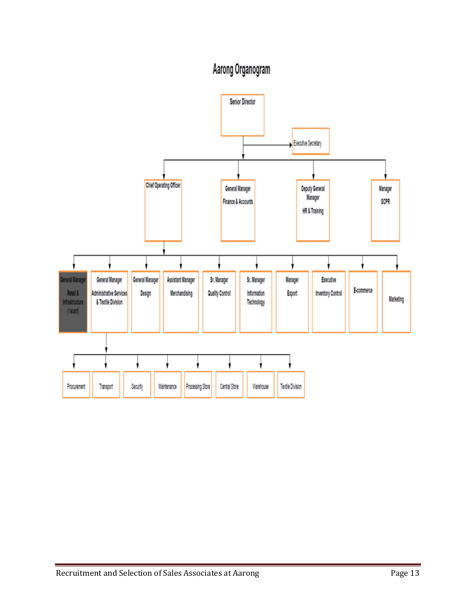# Aarong Organogram

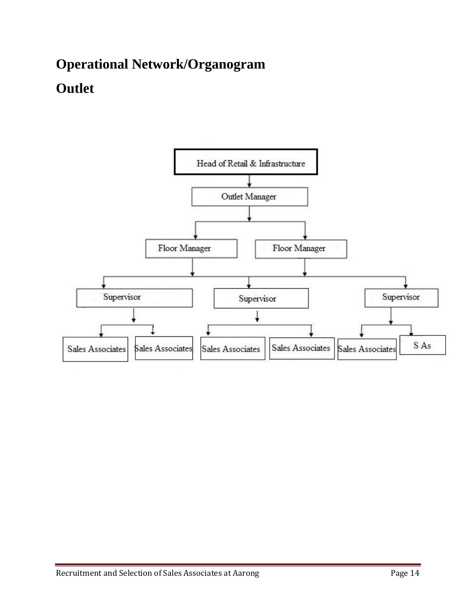# **Operational Network/Organogram Outlet**

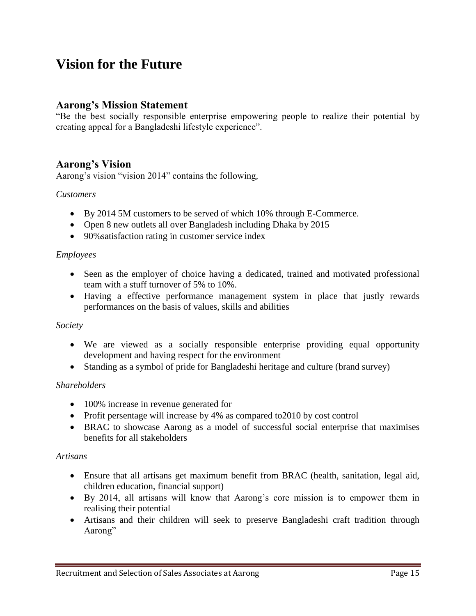### **Vision for the Future**

#### **Aarong's Mission Statement**

"Be the best socially responsible enterprise empowering people to realize their potential by creating appeal for a Bangladeshi lifestyle experience".

#### **Aarong's Vision**

Aarong's vision "vision 2014" contains the following,

#### *Customers*

- By 2014 5M customers to be served of which 10% through E-Commerce.
- Open 8 new outlets all over Bangladesh including Dhaka by 2015
- 90% satisfaction rating in customer service index

#### *Employees*

- Seen as the employer of choice having a dedicated, trained and motivated professional team with a stuff turnover of 5% to 10%.
- Having a effective performance management system in place that justly rewards performances on the basis of values, skills and abilities

#### *Society*

- We are viewed as a socially responsible enterprise providing equal opportunity development and having respect for the environment
- Standing as a symbol of pride for Bangladeshi heritage and culture (brand survey)

#### *Shareholders*

- 100% increase in revenue generated for
- Profit persentage will increase by 4% as compared to 2010 by cost control
- BRAC to showcase Aarong as a model of successful social enterprise that maximises benefits for all stakeholders

#### *Artisans*

- Ensure that all artisans get maximum benefit from BRAC (health, sanitation, legal aid, children education, financial support)
- By 2014, all artisans will know that Aarong"s core mission is to empower them in realising their potential
- Artisans and their children will seek to preserve Bangladeshi craft tradition through Aarong"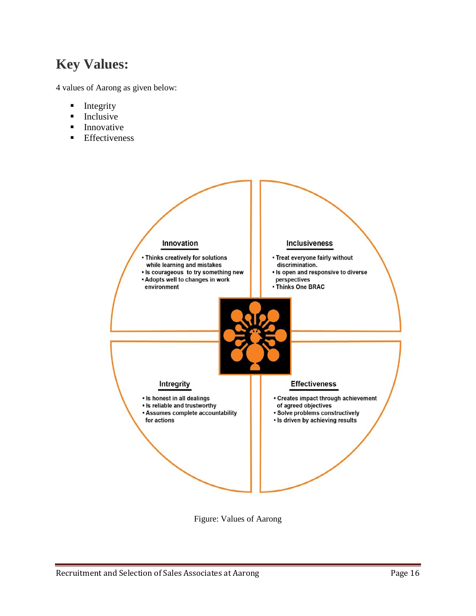### **Key Values:**

4 values of Aarong as given below:

- $\blacksquare$  Integrity
- $\blacksquare$  Inclusive
- Innovative
- **Effectiveness**



Figure: Values of Aarong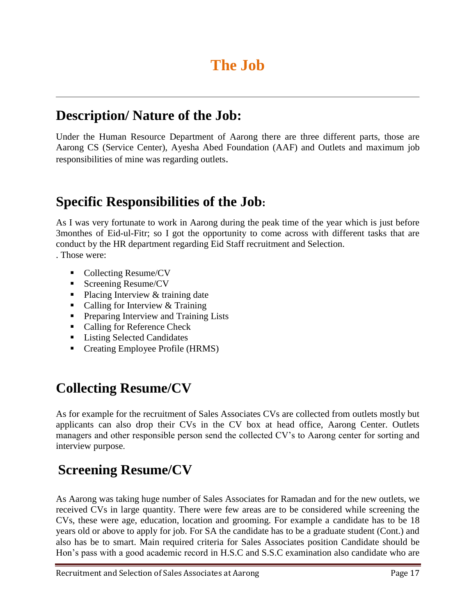### **Description/ Nature of the Job:**

Under the Human Resource Department of Aarong there are three different parts, those are Aarong CS (Service Center), Ayesha Abed Foundation (AAF) and Outlets and maximum job responsibilities of mine was regarding outlets.

### **Specific Responsibilities of the Job:**

As I was very fortunate to work in Aarong during the peak time of the year which is just before 3monthes of Eid-ul-Fitr; so I got the opportunity to come across with different tasks that are conduct by the HR department regarding Eid Staff recruitment and Selection.

. Those were:

- Collecting Resume/CV
- Screening Resume/CV
- Placing Interview & training date
- Calling for Interview & Training
- **Preparing Interview and Training Lists**
- Calling for Reference Check
- Listing Selected Candidates
- Creating Employee Profile (HRMS)

### **Collecting Resume/CV**

As for example for the recruitment of Sales Associates CVs are collected from outlets mostly but applicants can also drop their CVs in the CV box at head office, Aarong Center. Outlets managers and other responsible person send the collected CV"s to Aarong center for sorting and interview purpose.

### **Screening Resume/CV**

As Aarong was taking huge number of Sales Associates for Ramadan and for the new outlets, we received CVs in large quantity. There were few areas are to be considered while screening the CVs, these were age, education, location and grooming. For example a candidate has to be 18 years old or above to apply for job. For SA the candidate has to be a graduate student (Cont.) and also has be to smart. Main required criteria for Sales Associates position Candidate should be Hon"s pass with a good academic record in H.S.C and S.S.C examination also candidate who are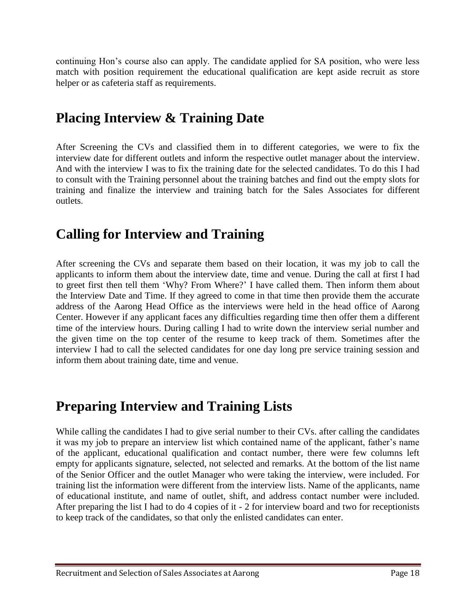continuing Hon"s course also can apply. The candidate applied for SA position, who were less match with position requirement the educational qualification are kept aside recruit as store helper or as cafeteria staff as requirements.

### **Placing Interview & Training Date**

After Screening the CVs and classified them in to different categories, we were to fix the interview date for different outlets and inform the respective outlet manager about the interview. And with the interview I was to fix the training date for the selected candidates. To do this I had to consult with the Training personnel about the training batches and find out the empty slots for training and finalize the interview and training batch for the Sales Associates for different outlets.

### **Calling for Interview and Training**

After screening the CVs and separate them based on their location, it was my job to call the applicants to inform them about the interview date, time and venue. During the call at first I had to greet first then tell them "Why? From Where?" I have called them. Then inform them about the Interview Date and Time. If they agreed to come in that time then provide them the accurate address of the Aarong Head Office as the interviews were held in the head office of Aarong Center. However if any applicant faces any difficulties regarding time then offer them a different time of the interview hours. During calling I had to write down the interview serial number and the given time on the top center of the resume to keep track of them. Sometimes after the interview I had to call the selected candidates for one day long pre service training session and inform them about training date, time and venue.

### **Preparing Interview and Training Lists**

While calling the candidates I had to give serial number to their CVs. after calling the candidates it was my job to prepare an interview list which contained name of the applicant, father"s name of the applicant, educational qualification and contact number, there were few columns left empty for applicants signature, selected, not selected and remarks. At the bottom of the list name of the Senior Officer and the outlet Manager who were taking the interview, were included. For training list the information were different from the interview lists. Name of the applicants, name of educational institute, and name of outlet, shift, and address contact number were included. After preparing the list I had to do 4 copies of it - 2 for interview board and two for receptionists to keep track of the candidates, so that only the enlisted candidates can enter.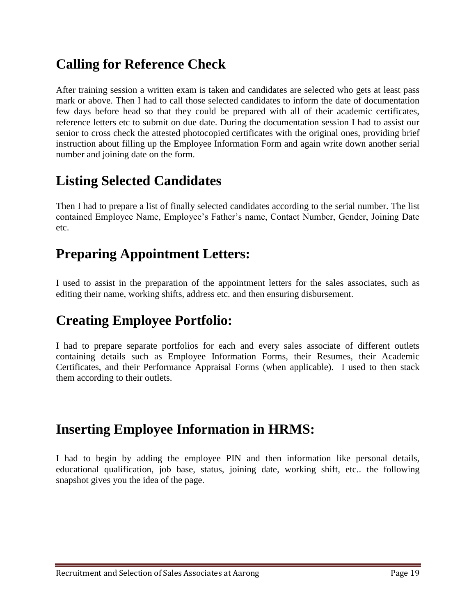### **Calling for Reference Check**

After training session a written exam is taken and candidates are selected who gets at least pass mark or above. Then I had to call those selected candidates to inform the date of documentation few days before head so that they could be prepared with all of their academic certificates, reference letters etc to submit on due date. During the documentation session I had to assist our senior to cross check the attested photocopied certificates with the original ones, providing brief instruction about filling up the Employee Information Form and again write down another serial number and joining date on the form.

### **Listing Selected Candidates**

Then I had to prepare a list of finally selected candidates according to the serial number. The list contained Employee Name, Employee"s Father"s name, Contact Number, Gender, Joining Date etc.

### **Preparing Appointment Letters:**

I used to assist in the preparation of the appointment letters for the sales associates, such as editing their name, working shifts, address etc. and then ensuring disbursement.

### **Creating Employee Portfolio:**

I had to prepare separate portfolios for each and every sales associate of different outlets containing details such as Employee Information Forms, their Resumes, their Academic Certificates, and their Performance Appraisal Forms (when applicable). I used to then stack them according to their outlets.

### **Inserting Employee Information in HRMS:**

I had to begin by adding the employee PIN and then information like personal details, educational qualification, job base, status, joining date, working shift, etc.. the following snapshot gives you the idea of the page.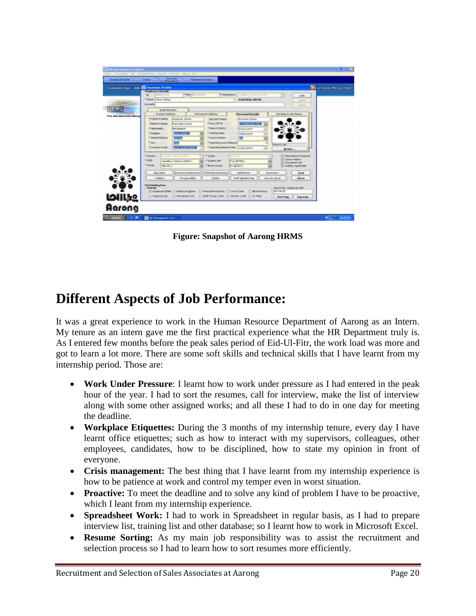|                            | <b>Durnered User: 000 Co Employee Profile</b><br>X 12-sam PM (12-Sil)                                                       |  |  |  |  |
|----------------------------|-----------------------------------------------------------------------------------------------------------------------------|--|--|--|--|
|                            | <b>Engloyee Details</b><br>* PBV 00134225<br>* Designation<br>00001553<br>Stendlery Morker (2000.)<br>ID:<br>$\sim$<br>Bold |  |  |  |  |
|                            | * Name Tarun Sarkar<br>A ARCIVE HRAIS<br>Lindo                                                                              |  |  |  |  |
|                            | Remarks)<br>Save                                                                                                            |  |  |  |  |
|                            | Indentification                                                                                                             |  |  |  |  |
| Time and Alberdance Manag- | Present Address<br>Premanent Address<br>Job Race is Job Status<br><b>Personal Details</b>                                   |  |  |  |  |
|                            | * Father's Name<br><b>Jose Rank Savicar</b><br>Horizoda Sarkar<br>Sociologic Name                                           |  |  |  |  |
|                            | *Day-Off ID<br>Plother's Name<br>Rajo Bala Sarkar<br><b>Experimental Line</b>                                               |  |  |  |  |
|                            | * Date Of Birth<br>* Metonality<br>Europladeah<br>01/01/1977<br>회                                                           |  |  |  |  |
|                            | <b>Hindu (SOURI)</b><br><sup>*</sup> Joining Date:<br>* 8 eligion<br>010013010<br>$\overline{ }$                            |  |  |  |  |
|                            | * Martial Status<br>* Leave Option<br><b>RM</b><br><b>Parisher</b>                                                          |  |  |  |  |
|                            | * Sex<br>프릿<br>* Opening Leave Balance<br>$\overline{a}$<br>Photo's UPL                                                     |  |  |  |  |
|                            | <sup>*</sup> Localdon Code<br>* Opening Balance Date   10/61/2010<br>market and all<br>$\cdot$<br><b>Browns</b>             |  |  |  |  |
|                            | D Attendance Required<br>* Section<br>* Sande<br>Sound is a Factory (20)<br>16 004 3                                        |  |  |  |  |
|                            | V Leave Adjust<br>15/21<br>* English Skill<br>Javadary Factory (HSC2)<br>Pop (EPD4)                                         |  |  |  |  |
|                            | [e] Increment ON<br>* Group<br>* Bood Group:<br>B+ (8503)<br>[- Holiday Applicable<br><b>NSA 101.7</b>                      |  |  |  |  |
|                            |                                                                                                                             |  |  |  |  |
|                            | Education<br>Previous Employment<br>Professional Training<br>Raference<br>Insurance<br>Find                                 |  |  |  |  |
|                            | Chidren<br>Responsibility.<br>Hiddu<br>Staff Membership<br>Security Bond<br><b>Close</b>                                    |  |  |  |  |
|                            | Find Dialog box                                                                                                             |  |  |  |  |
|                            | Search By: Employee FBI/<br>Find By<br>00134225                                                                             |  |  |  |  |
| 10الحا<br>Aarong           | ○ Exploree 30 ○ Permanent Oby ○ Staff Graup Code ○ Section Code ○ Is Tribe<br>Find Nose<br>Ещинице                          |  |  |  |  |
|                            |                                                                                                                             |  |  |  |  |

**Figure: Snapshot of Aarong HRMS**

### **Different Aspects of Job Performance:**

It was a great experience to work in the Human Resource Department of Aarong as an Intern. My tenure as an intern gave me the first practical experience what the HR Department truly is. As I entered few months before the peak sales period of Eid-Ul-Fitr, the work load was more and got to learn a lot more. There are some soft skills and technical skills that I have learnt from my internship period. Those are:

- **Work Under Pressure**: I learnt how to work under pressure as I had entered in the peak hour of the year. I had to sort the resumes, call for interview, make the list of interview along with some other assigned works; and all these I had to do in one day for meeting the deadline.
- **Workplace Etiquettes:** During the 3 months of my internship tenure, every day I have learnt office etiquettes; such as how to interact with my supervisors, colleagues, other employees, candidates, how to be disciplined, how to state my opinion in front of everyone.
- **Crisis management:** The best thing that I have learnt from my internship experience is how to be patience at work and control my temper even in worst situation.
- **Proactive:** To meet the deadline and to solve any kind of problem I have to be proactive, which I leant from my internship experience.
- **Spreadsheet Work:** I had to work in Spreadsheet in regular basis, as I had to prepare interview list, training list and other database; so I learnt how to work in Microsoft Excel.
- **Resume Sorting:** As my main job responsibility was to assist the recruitment and selection process so I had to learn how to sort resumes more efficiently.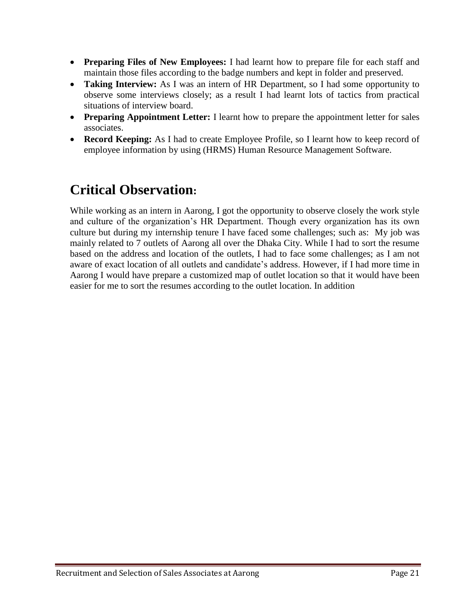- **Preparing Files of New Employees:** I had learnt how to prepare file for each staff and maintain those files according to the badge numbers and kept in folder and preserved.
- **Taking Interview:** As I was an intern of HR Department, so I had some opportunity to observe some interviews closely; as a result I had learnt lots of tactics from practical situations of interview board.
- **Preparing Appointment Letter:** I learnt how to prepare the appointment letter for sales associates.
- **Record Keeping:** As I had to create Employee Profile, so I learnt how to keep record of employee information by using (HRMS) Human Resource Management Software.

# **Critical Observation:**

While working as an intern in Aarong, I got the opportunity to observe closely the work style and culture of the organization"s HR Department. Though every organization has its own culture but during my internship tenure I have faced some challenges; such as: My job was mainly related to 7 outlets of Aarong all over the Dhaka City. While I had to sort the resume based on the address and location of the outlets, I had to face some challenges; as I am not aware of exact location of all outlets and candidate"s address. However, if I had more time in Aarong I would have prepare a customized map of outlet location so that it would have been easier for me to sort the resumes according to the outlet location. In addition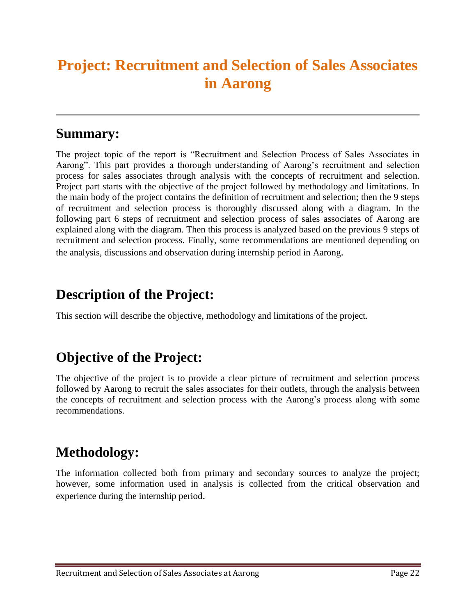# **Project: Recruitment and Selection of Sales Associates in Aarong**

#### **Summary:**

The project topic of the report is "Recruitment and Selection Process of Sales Associates in Aarong". This part provides a thorough understanding of Aarong"s recruitment and selection process for sales associates through analysis with the concepts of recruitment and selection. Project part starts with the objective of the project followed by methodology and limitations. In the main body of the project contains the definition of recruitment and selection; then the 9 steps of recruitment and selection process is thoroughly discussed along with a diagram. In the following part 6 steps of recruitment and selection process of sales associates of Aarong are explained along with the diagram. Then this process is analyzed based on the previous 9 steps of recruitment and selection process. Finally, some recommendations are mentioned depending on the analysis, discussions and observation during internship period in Aarong.

### **Description of the Project:**

This section will describe the objective, methodology and limitations of the project.

### **Objective of the Project:**

The objective of the project is to provide a clear picture of recruitment and selection process followed by Aarong to recruit the sales associates for their outlets, through the analysis between the concepts of recruitment and selection process with the Aarong"s process along with some recommendations.

### **Methodology:**

The information collected both from primary and secondary sources to analyze the project; however, some information used in analysis is collected from the critical observation and experience during the internship period.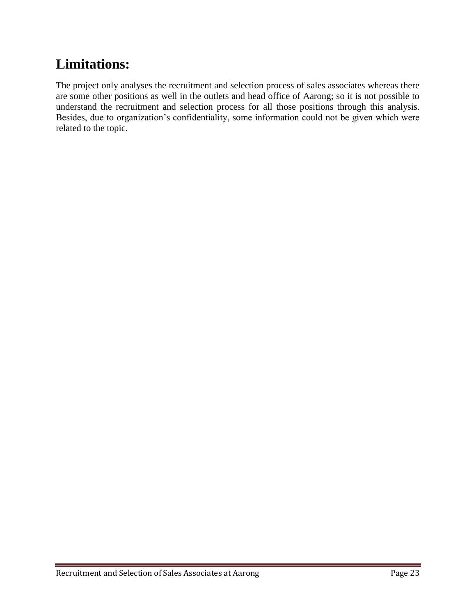# **Limitations:**

The project only analyses the recruitment and selection process of sales associates whereas there are some other positions as well in the outlets and head office of Aarong; so it is not possible to understand the recruitment and selection process for all those positions through this analysis. Besides, due to organization's confidentiality, some information could not be given which were related to the topic.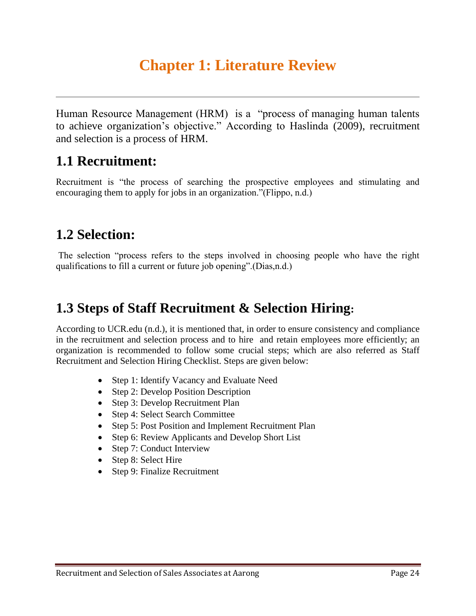# **Chapter 1: Literature Review**

Human Resource Management (HRM) is a "process of managing human talents to achieve organization"s objective." According to Haslinda (2009), recruitment and selection is a process of HRM.

### **1.1 Recruitment:**

Recruitment is "the process of searching the prospective employees and stimulating and encouraging them to apply for jobs in an organization."(Flippo, n.d.)

### **1.2 Selection:**

The selection "process refers to the steps involved in choosing people who have the right qualifications to fill a current or future job opening".(Dias,n.d.)

### **1.3 Steps of Staff Recruitment & Selection Hiring:**

According to UCR.edu (n.d.), it is mentioned that, in order to ensure consistency and compliance in the recruitment and selection process and to hire and retain employees more efficiently; an organization is recommended to follow some crucial steps; which are also referred as Staff Recruitment and Selection Hiring Checklist. Steps are given below:

- Step 1: Identify Vacancy and Evaluate Need
- Step 2: Develop Position Description
- Step 3: Develop Recruitment Plan
- Step 4: Select Search Committee
- Step 5: Post Position and Implement Recruitment Plan
- Step 6: Review Applicants and Develop Short List
- Step 7: Conduct Interview
- Step 8: Select Hire
- Step 9: Finalize Recruitment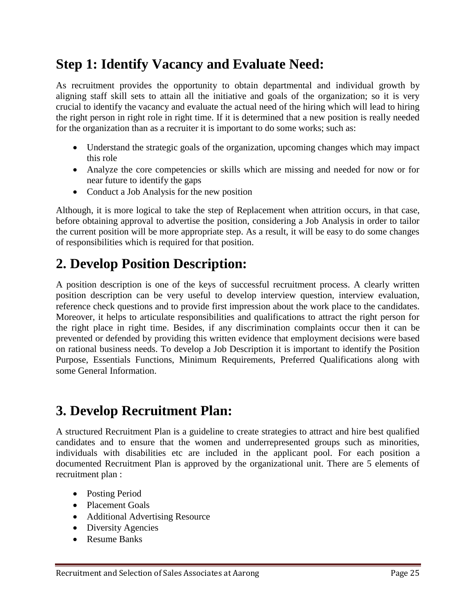### **Step 1: Identify Vacancy and Evaluate Need:**

As recruitment provides the opportunity to obtain departmental and individual growth by aligning staff skill sets to attain all the initiative and goals of the organization; so it is very crucial to identify the vacancy and evaluate the actual need of the hiring which will lead to hiring the right person in right role in right time. If it is determined that a new position is really needed for the organization than as a recruiter it is important to do some works; such as:

- Understand the strategic goals of the organization, upcoming changes which may impact this role
- Analyze the core competencies or skills which are missing and needed for now or for near future to identify the gaps
- Conduct a Job Analysis for the new position

Although, it is more logical to take the step of Replacement when attrition occurs, in that case, before obtaining approval to advertise the position, considering a Job Analysis in order to tailor the current position will be more appropriate step. As a result, it will be easy to do some changes of responsibilities which is required for that position.

### **2. Develop Position Description:**

A position description is one of the keys of successful recruitment process. A clearly written position description can be very useful to develop interview question, interview evaluation, reference check questions and to provide first impression about the work place to the candidates. Moreover, it helps to articulate responsibilities and qualifications to attract the right person for the right place in right time. Besides, if any discrimination complaints occur then it can be prevented or defended by providing this written evidence that employment decisions were based on rational business needs. To develop a Job Description it is important to identify the Position Purpose, Essentials Functions, Minimum Requirements, Preferred Qualifications along with some General Information.

### **3. Develop Recruitment Plan:**

A structured Recruitment Plan is a guideline to create strategies to attract and hire best qualified candidates and to ensure that the women and underrepresented groups such as minorities, individuals with disabilities etc are included in the applicant pool. For each position a documented Recruitment Plan is approved by the organizational unit. There are 5 elements of recruitment plan :

- Posting Period
- Placement Goals
- Additional Advertising Resource
- Diversity Agencies
- Resume Banks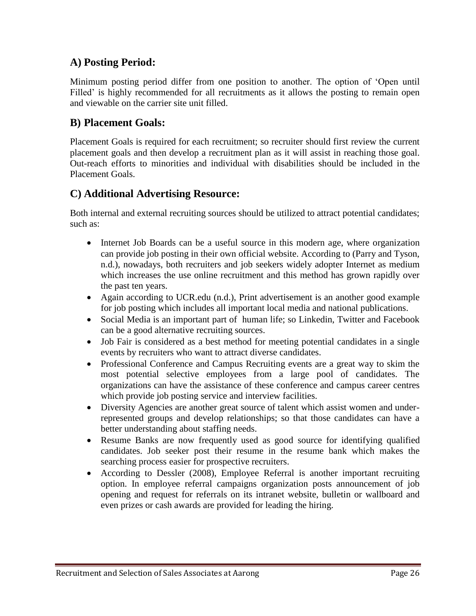#### **A) Posting Period:**

Minimum posting period differ from one position to another. The option of "Open until Filled' is highly recommended for all recruitments as it allows the posting to remain open and viewable on the carrier site unit filled.

#### **B) Placement Goals:**

Placement Goals is required for each recruitment; so recruiter should first review the current placement goals and then develop a recruitment plan as it will assist in reaching those goal. Out-reach efforts to minorities and individual with disabilities should be included in the Placement Goals.

#### **C) Additional Advertising Resource:**

Both internal and external recruiting sources should be utilized to attract potential candidates; such as:

- Internet Job Boards can be a useful source in this modern age, where organization can provide job posting in their own official website. According to (Parry and Tyson, n.d.), nowadays, both recruiters and job seekers widely adopter Internet as medium which increases the use online recruitment and this method has grown rapidly over the past ten years.
- Again according to UCR.edu (n.d.), Print advertisement is an another good example for job posting which includes all important local media and national publications.
- Social Media is an important part of human life; so Linkedin, Twitter and Facebook can be a good alternative recruiting sources.
- Job Fair is considered as a best method for meeting potential candidates in a single events by recruiters who want to attract diverse candidates.
- Professional Conference and Campus Recruiting events are a great way to skim the most potential selective employees from a large pool of candidates. The organizations can have the assistance of these conference and campus career centres which provide job posting service and interview facilities.
- Diversity Agencies are another great source of talent which assist women and underrepresented groups and develop relationships; so that those candidates can have a better understanding about staffing needs.
- Resume Banks are now frequently used as good source for identifying qualified candidates. Job seeker post their resume in the resume bank which makes the searching process easier for prospective recruiters.
- According to Dessler (2008), Employee Referral is another important recruiting option. In employee referral campaigns organization posts announcement of job opening and request for referrals on its intranet website, bulletin or wallboard and even prizes or cash awards are provided for leading the hiring.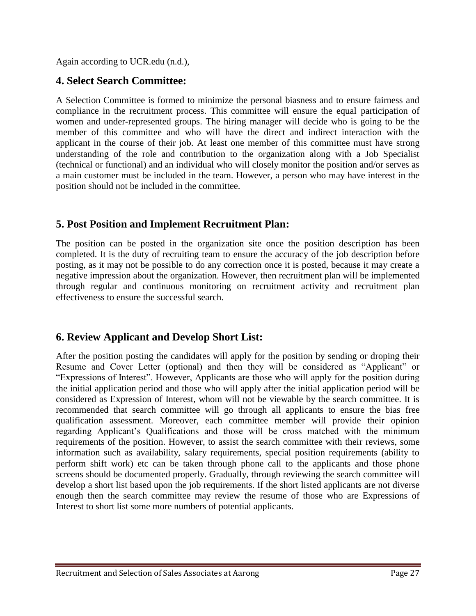Again according to UCR.edu (n.d.),

#### **4. Select Search Committee:**

A Selection Committee is formed to minimize the personal biasness and to ensure fairness and compliance in the recruitment process. This committee will ensure the equal participation of women and under-represented groups. The hiring manager will decide who is going to be the member of this committee and who will have the direct and indirect interaction with the applicant in the course of their job. At least one member of this committee must have strong understanding of the role and contribution to the organization along with a Job Specialist (technical or functional) and an individual who will closely monitor the position and/or serves as a main customer must be included in the team. However, a person who may have interest in the position should not be included in the committee.

#### **5. Post Position and Implement Recruitment Plan:**

The position can be posted in the organization site once the position description has been completed. It is the duty of recruiting team to ensure the accuracy of the job description before posting, as it may not be possible to do any correction once it is posted, because it may create a negative impression about the organization. However, then recruitment plan will be implemented through regular and continuous monitoring on recruitment activity and recruitment plan effectiveness to ensure the successful search.

#### **6. Review Applicant and Develop Short List:**

After the position posting the candidates will apply for the position by sending or droping their Resume and Cover Letter (optional) and then they will be considered as "Applicant" or "Expressions of Interest". However, Applicants are those who will apply for the position during the initial application period and those who will apply after the initial application period will be considered as Expression of Interest, whom will not be viewable by the search committee. It is recommended that search committee will go through all applicants to ensure the bias free qualification assessment. Moreover, each committee member will provide their opinion regarding Applicant"s Qualifications and those will be cross matched with the minimum requirements of the position. However, to assist the search committee with their reviews, some information such as availability, salary requirements, special position requirements (ability to perform shift work) etc can be taken through phone call to the applicants and those phone screens should be documented properly. Gradually, through reviewing the search committee will develop a short list based upon the job requirements. If the short listed applicants are not diverse enough then the search committee may review the resume of those who are Expressions of Interest to short list some more numbers of potential applicants.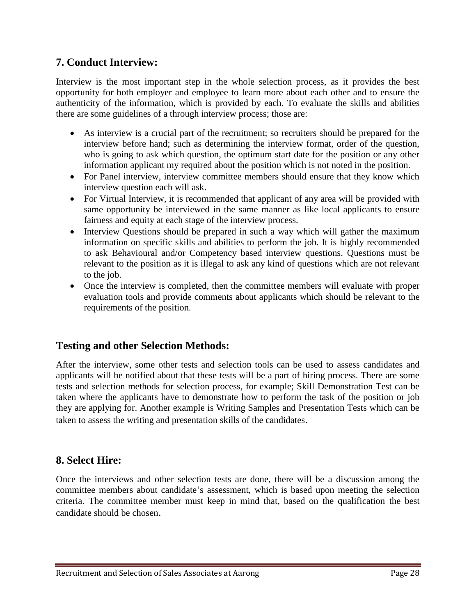#### **7. Conduct Interview:**

Interview is the most important step in the whole selection process, as it provides the best opportunity for both employer and employee to learn more about each other and to ensure the authenticity of the information, which is provided by each. To evaluate the skills and abilities there are some guidelines of a through interview process; those are:

- As interview is a crucial part of the recruitment; so recruiters should be prepared for the interview before hand; such as determining the interview format, order of the question, who is going to ask which question, the optimum start date for the position or any other information applicant my required about the position which is not noted in the position.
- For Panel interview, interview committee members should ensure that they know which interview question each will ask.
- For Virtual Interview, it is recommended that applicant of any area will be provided with same opportunity be interviewed in the same manner as like local applicants to ensure fairness and equity at each stage of the interview process.
- Interview Ouestions should be prepared in such a way which will gather the maximum information on specific skills and abilities to perform the job. It is highly recommended to ask Behavioural and/or Competency based interview questions. Questions must be relevant to the position as it is illegal to ask any kind of questions which are not relevant to the job.
- Once the interview is completed, then the committee members will evaluate with proper evaluation tools and provide comments about applicants which should be relevant to the requirements of the position.

#### **Testing and other Selection Methods:**

After the interview, some other tests and selection tools can be used to assess candidates and applicants will be notified about that these tests will be a part of hiring process. There are some tests and selection methods for selection process, for example; Skill Demonstration Test can be taken where the applicants have to demonstrate how to perform the task of the position or job they are applying for. Another example is Writing Samples and Presentation Tests which can be taken to assess the writing and presentation skills of the candidates.

#### **8. Select Hire:**

Once the interviews and other selection tests are done, there will be a discussion among the committee members about candidate"s assessment, which is based upon meeting the selection criteria. The committee member must keep in mind that, based on the qualification the best candidate should be chosen.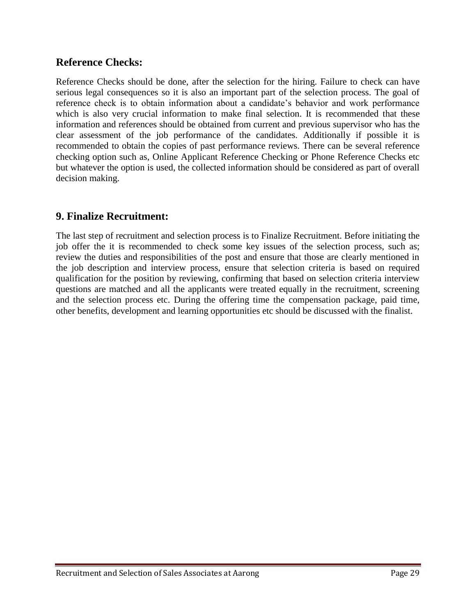#### **Reference Checks:**

Reference Checks should be done, after the selection for the hiring. Failure to check can have serious legal consequences so it is also an important part of the selection process. The goal of reference check is to obtain information about a candidate's behavior and work performance which is also very crucial information to make final selection. It is recommended that these information and references should be obtained from current and previous supervisor who has the clear assessment of the job performance of the candidates. Additionally if possible it is recommended to obtain the copies of past performance reviews. There can be several reference checking option such as, Online Applicant Reference Checking or Phone Reference Checks etc but whatever the option is used, the collected information should be considered as part of overall decision making.

#### **9. Finalize Recruitment:**

The last step of recruitment and selection process is to Finalize Recruitment. Before initiating the job offer the it is recommended to check some key issues of the selection process, such as; review the duties and responsibilities of the post and ensure that those are clearly mentioned in the job description and interview process, ensure that selection criteria is based on required qualification for the position by reviewing, confirming that based on selection criteria interview questions are matched and all the applicants were treated equally in the recruitment, screening and the selection process etc. During the offering time the compensation package, paid time, other benefits, development and learning opportunities etc should be discussed with the finalist.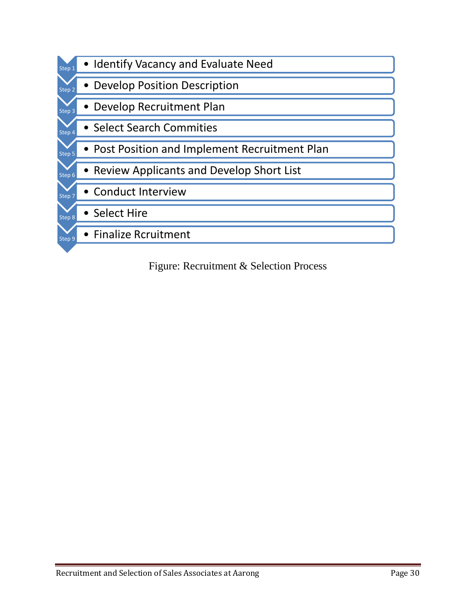

Figure: Recruitment & Selection Process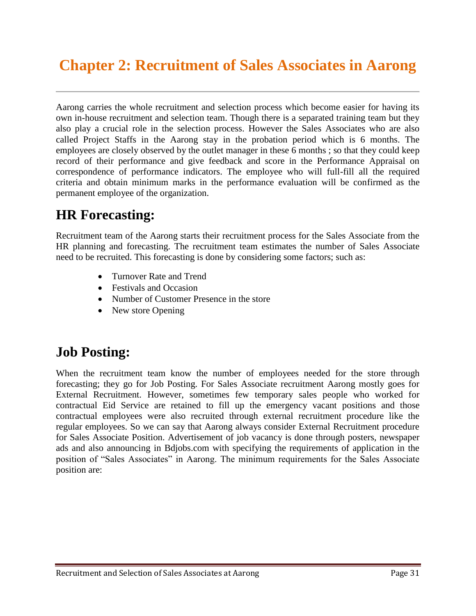# **Chapter 2: Recruitment of Sales Associates in Aarong**

Aarong carries the whole recruitment and selection process which become easier for having its own in-house recruitment and selection team. Though there is a separated training team but they also play a crucial role in the selection process. However the Sales Associates who are also called Project Staffs in the Aarong stay in the probation period which is 6 months. The employees are closely observed by the outlet manager in these 6 months ; so that they could keep record of their performance and give feedback and score in the Performance Appraisal on correspondence of performance indicators. The employee who will full-fill all the required criteria and obtain minimum marks in the performance evaluation will be confirmed as the permanent employee of the organization.

### **HR Forecasting:**

Recruitment team of the Aarong starts their recruitment process for the Sales Associate from the HR planning and forecasting. The recruitment team estimates the number of Sales Associate need to be recruited. This forecasting is done by considering some factors; such as:

- Turnover Rate and Trend
- Festivals and Occasion
- Number of Customer Presence in the store
- New store Opening

### **Job Posting:**

When the recruitment team know the number of employees needed for the store through forecasting; they go for Job Posting. For Sales Associate recruitment Aarong mostly goes for External Recruitment. However, sometimes few temporary sales people who worked for contractual Eid Service are retained to fill up the emergency vacant positions and those contractual employees were also recruited through external recruitment procedure like the regular employees. So we can say that Aarong always consider External Recruitment procedure for Sales Associate Position. Advertisement of job vacancy is done through posters, newspaper ads and also announcing in Bdjobs.com with specifying the requirements of application in the position of "Sales Associates" in Aarong. The minimum requirements for the Sales Associate position are: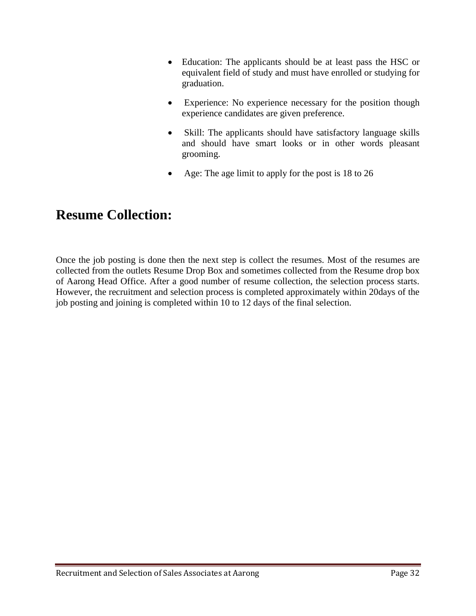- Education: The applicants should be at least pass the HSC or equivalent field of study and must have enrolled or studying for graduation.
- Experience: No experience necessary for the position though experience candidates are given preference.
- Skill: The applicants should have satisfactory language skills and should have smart looks or in other words pleasant grooming.
- Age: The age limit to apply for the post is 18 to 26

### **Resume Collection:**

Once the job posting is done then the next step is collect the resumes. Most of the resumes are collected from the outlets Resume Drop Box and sometimes collected from the Resume drop box of Aarong Head Office. After a good number of resume collection, the selection process starts. However, the recruitment and selection process is completed approximately within 20days of the job posting and joining is completed within 10 to 12 days of the final selection.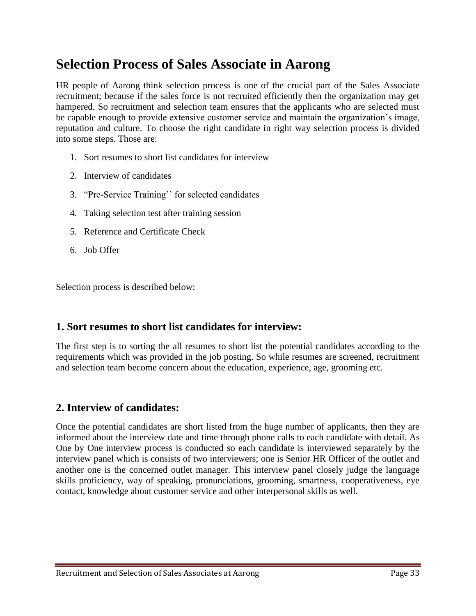### **Selection Process of Sales Associate in Aarong**

HR people of Aarong think selection process is one of the crucial part of the Sales Associate recruitment; because if the sales force is not recruited efficiently then the organization may get hampered. So recruitment and selection team ensures that the applicants who are selected must be capable enough to provide extensive customer service and maintain the organization"s image, reputation and culture. To choose the right candidate in right way selection process is divided into some steps. Those are:

- 1. Sort resumes to short list candidates for interview
- 2. Interview of candidates
- 3. "Pre-Service Training"" for selected candidates
- 4. Taking selection test after training session
- 5. Reference and Certificate Check
- 6. Job Offer

Selection process is described below:

#### **1. Sort resumes to short list candidates for interview:**

The first step is to sorting the all resumes to short list the potential candidates according to the requirements which was provided in the job posting. So while resumes are screened, recruitment and selection team become concern about the education, experience, age, grooming etc.

#### **2. Interview of candidates:**

Once the potential candidates are short listed from the huge number of applicants, then they are informed about the interview date and time through phone calls to each candidate with detail. As One by One interview process is conducted so each candidate is interviewed separately by the interview panel which is consists of two interviewers; one is Senior HR Officer of the outlet and another one is the concerned outlet manager. This interview panel closely judge the language skills proficiency, way of speaking, pronunciations, grooming, smartness, cooperativeness, eye contact, knowledge about customer service and other interpersonal skills as well.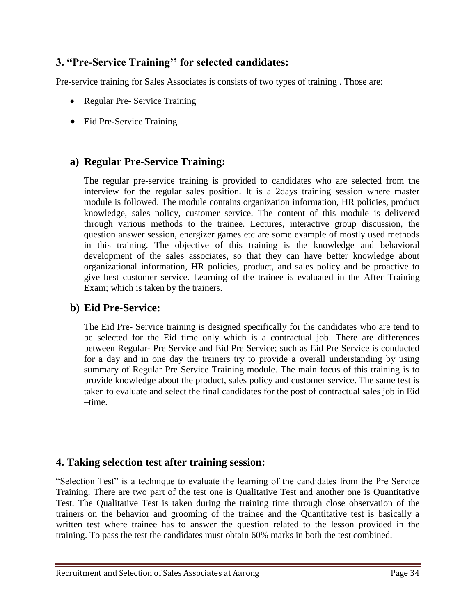#### **3. "Pre-Service Training'' for selected candidates:**

Pre-service training for Sales Associates is consists of two types of training . Those are:

- Regular Pre- Service Training
- Eid Pre-Service Training

#### **a) Regular Pre-Service Training:**

The regular pre-service training is provided to candidates who are selected from the interview for the regular sales position. It is a 2days training session where master module is followed. The module contains organization information, HR policies, product knowledge, sales policy, customer service. The content of this module is delivered through various methods to the trainee. Lectures, interactive group discussion, the question answer session, energizer games etc are some example of mostly used methods in this training. The objective of this training is the knowledge and behavioral development of the sales associates, so that they can have better knowledge about organizational information, HR policies, product, and sales policy and be proactive to give best customer service. Learning of the trainee is evaluated in the After Training Exam; which is taken by the trainers.

#### **b) Eid Pre-Service:**

The Eid Pre- Service training is designed specifically for the candidates who are tend to be selected for the Eid time only which is a contractual job. There are differences between Regular- Pre Service and Eid Pre Service; such as Eid Pre Service is conducted for a day and in one day the trainers try to provide a overall understanding by using summary of Regular Pre Service Training module. The main focus of this training is to provide knowledge about the product, sales policy and customer service. The same test is taken to evaluate and select the final candidates for the post of contractual sales job in Eid –time.

#### **4. Taking selection test after training session:**

"Selection Test" is a technique to evaluate the learning of the candidates from the Pre Service Training. There are two part of the test one is Qualitative Test and another one is Quantitative Test. The Qualitative Test is taken during the training time through close observation of the trainers on the behavior and grooming of the trainee and the Quantitative test is basically a written test where trainee has to answer the question related to the lesson provided in the training. To pass the test the candidates must obtain 60% marks in both the test combined.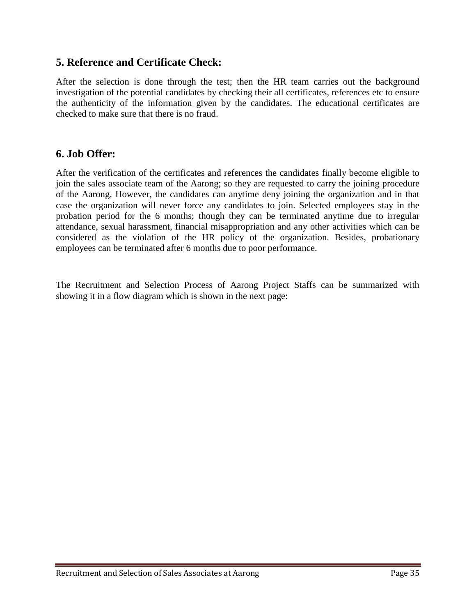#### **5. Reference and Certificate Check:**

After the selection is done through the test; then the HR team carries out the background investigation of the potential candidates by checking their all certificates, references etc to ensure the authenticity of the information given by the candidates. The educational certificates are checked to make sure that there is no fraud.

#### **6. Job Offer:**

After the verification of the certificates and references the candidates finally become eligible to join the sales associate team of the Aarong; so they are requested to carry the joining procedure of the Aarong. However, the candidates can anytime deny joining the organization and in that case the organization will never force any candidates to join. Selected employees stay in the probation period for the 6 months; though they can be terminated anytime due to irregular attendance, sexual harassment, financial misappropriation and any other activities which can be considered as the violation of the HR policy of the organization. Besides, probationary employees can be terminated after 6 months due to poor performance.

The Recruitment and Selection Process of Aarong Project Staffs can be summarized with showing it in a flow diagram which is shown in the next page: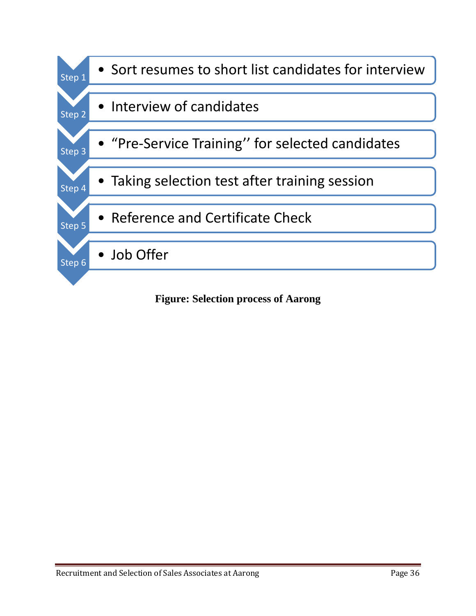

**Figure: Selection process of Aarong**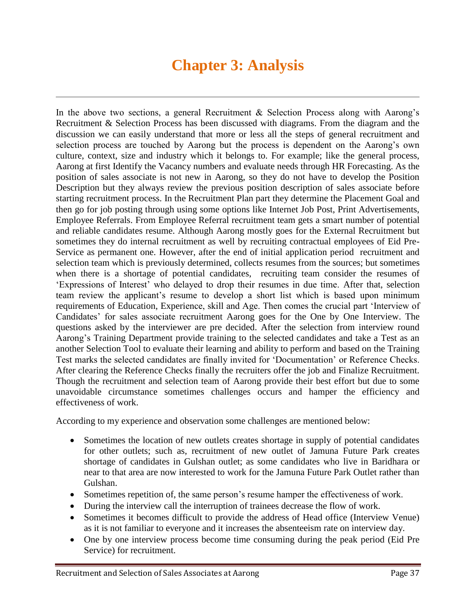# **Chapter 3: Analysis**

In the above two sections, a general Recruitment  $\&$  Selection Process along with Aarong's Recruitment & Selection Process has been discussed with diagrams. From the diagram and the discussion we can easily understand that more or less all the steps of general recruitment and selection process are touched by Aarong but the process is dependent on the Aarong"s own culture, context, size and industry which it belongs to. For example; like the general process, Aarong at first Identify the Vacancy numbers and evaluate needs through HR Forecasting. As the position of sales associate is not new in Aarong, so they do not have to develop the Position Description but they always review the previous position description of sales associate before starting recruitment process. In the Recruitment Plan part they determine the Placement Goal and then go for job posting through using some options like Internet Job Post, Print Advertisements, Employee Referrals. From Employee Referral recruitment team gets a smart number of potential and reliable candidates resume. Although Aarong mostly goes for the External Recruitment but sometimes they do internal recruitment as well by recruiting contractual employees of Eid Pre-Service as permanent one. However, after the end of initial application period recruitment and selection team which is previously determined, collects resumes from the sources; but sometimes when there is a shortage of potential candidates, recruiting team consider the resumes of "Expressions of Interest" who delayed to drop their resumes in due time. After that, selection team review the applicant's resume to develop a short list which is based upon minimum requirements of Education, Experience, skill and Age. Then comes the crucial part "Interview of Candidates' for sales associate recruitment Aarong goes for the One by One Interview. The questions asked by the interviewer are pre decided. After the selection from interview round Aarong"s Training Department provide training to the selected candidates and take a Test as an another Selection Tool to evaluate their learning and ability to perform and based on the Training Test marks the selected candidates are finally invited for "Documentation" or Reference Checks. After clearing the Reference Checks finally the recruiters offer the job and Finalize Recruitment. Though the recruitment and selection team of Aarong provide their best effort but due to some unavoidable circumstance sometimes challenges occurs and hamper the efficiency and effectiveness of work.

According to my experience and observation some challenges are mentioned below:

- Sometimes the location of new outlets creates shortage in supply of potential candidates for other outlets; such as, recruitment of new outlet of Jamuna Future Park creates shortage of candidates in Gulshan outlet; as some candidates who live in Baridhara or near to that area are now interested to work for the Jamuna Future Park Outlet rather than Gulshan.
- Sometimes repetition of, the same person"s resume hamper the effectiveness of work.
- During the interview call the interruption of trainees decrease the flow of work.
- Sometimes it becomes difficult to provide the address of Head office (Interview Venue) as it is not familiar to everyone and it increases the absenteeism rate on interview day.
- One by one interview process become time consuming during the peak period (Eid Pre Service) for recruitment.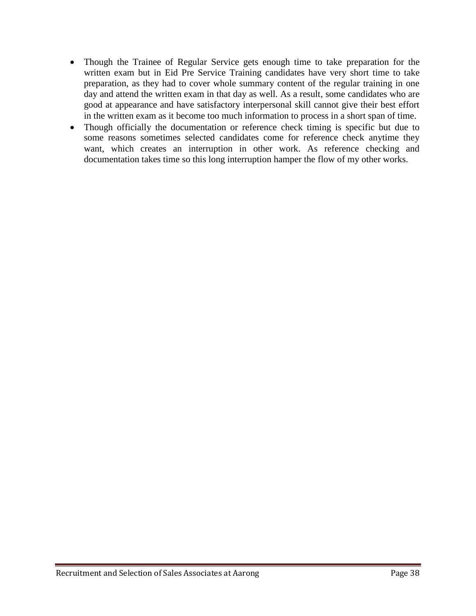- Though the Trainee of Regular Service gets enough time to take preparation for the written exam but in Eid Pre Service Training candidates have very short time to take preparation, as they had to cover whole summary content of the regular training in one day and attend the written exam in that day as well. As a result, some candidates who are good at appearance and have satisfactory interpersonal skill cannot give their best effort in the written exam as it become too much information to process in a short span of time.
- Though officially the documentation or reference check timing is specific but due to some reasons sometimes selected candidates come for reference check anytime they want, which creates an interruption in other work. As reference checking and documentation takes time so this long interruption hamper the flow of my other works.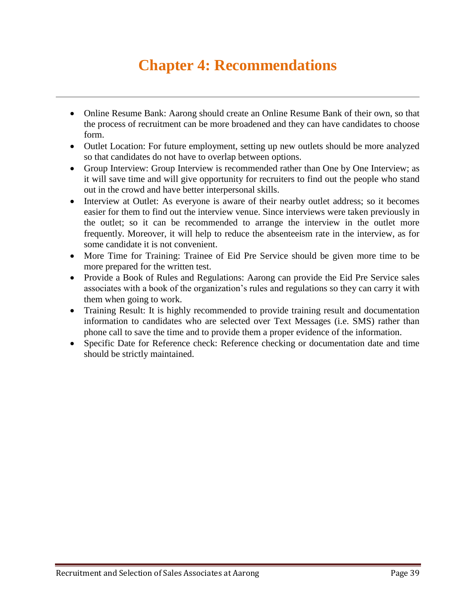# **Chapter 4: Recommendations**

- Online Resume Bank: Aarong should create an Online Resume Bank of their own, so that the process of recruitment can be more broadened and they can have candidates to choose form.
- Outlet Location: For future employment, setting up new outlets should be more analyzed so that candidates do not have to overlap between options.
- Group Interview: Group Interview is recommended rather than One by One Interview; as it will save time and will give opportunity for recruiters to find out the people who stand out in the crowd and have better interpersonal skills.
- Interview at Outlet: As everyone is aware of their nearby outlet address; so it becomes easier for them to find out the interview venue. Since interviews were taken previously in the outlet; so it can be recommended to arrange the interview in the outlet more frequently. Moreover, it will help to reduce the absenteeism rate in the interview, as for some candidate it is not convenient.
- More Time for Training: Trainee of Eid Pre Service should be given more time to be more prepared for the written test.
- Provide a Book of Rules and Regulations: Aarong can provide the Eid Pre Service sales associates with a book of the organization"s rules and regulations so they can carry it with them when going to work.
- Training Result: It is highly recommended to provide training result and documentation information to candidates who are selected over Text Messages (i.e. SMS) rather than phone call to save the time and to provide them a proper evidence of the information.
- Specific Date for Reference check: Reference checking or documentation date and time should be strictly maintained.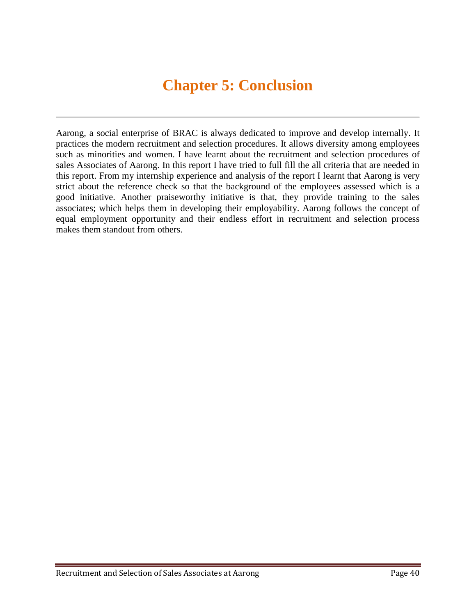# **Chapter 5: Conclusion**

Aarong, a social enterprise of BRAC is always dedicated to improve and develop internally. It practices the modern recruitment and selection procedures. It allows diversity among employees such as minorities and women. I have learnt about the recruitment and selection procedures of sales Associates of Aarong. In this report I have tried to full fill the all criteria that are needed in this report. From my internship experience and analysis of the report I learnt that Aarong is very strict about the reference check so that the background of the employees assessed which is a good initiative. Another praiseworthy initiative is that, they provide training to the sales associates; which helps them in developing their employability. Aarong follows the concept of equal employment opportunity and their endless effort in recruitment and selection process makes them standout from others.